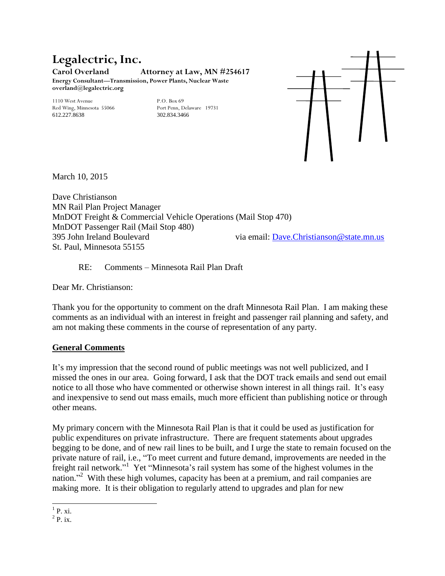#### **Legalectric, Inc. Carol Overland Attorney at Law, MN #254617 Energy Consultant—Transmission, Power Plants, Nuclear Waste overland@legalectric.org**

1110 West Avenue 19731<br>
1110 West Avenue 19731<br>
19731 Port Penn, Delaware 19731 Red Wing, Minnesota 55066 612.227.8638 302.834.3466



March 10, 2015

Dave Christianson MN Rail Plan Project Manager MnDOT Freight & Commercial Vehicle Operations (Mail Stop 470) MnDOT Passenger Rail (Mail Stop 480) 395 John Ireland Boulevard via email: [Dave.Christianson@state.mn.us](mailto:Dave.Christianson@state.mn.us) St. Paul, Minnesota 55155

RE: Comments – Minnesota Rail Plan Draft

Dear Mr. Christianson:

Thank you for the opportunity to comment on the draft Minnesota Rail Plan. I am making these comments as an individual with an interest in freight and passenger rail planning and safety, and am not making these comments in the course of representation of any party.

## **General Comments**

It's my impression that the second round of public meetings was not well publicized, and I missed the ones in our area. Going forward, I ask that the DOT track emails and send out email notice to all those who have commented or otherwise shown interest in all things rail. It's easy and inexpensive to send out mass emails, much more efficient than publishing notice or through other means.

My primary concern with the Minnesota Rail Plan is that it could be used as justification for public expenditures on private infrastructure. There are frequent statements about upgrades begging to be done, and of new rail lines to be built, and I urge the state to remain focused on the private nature of rail, i.e., "To meet current and future demand, improvements are needed in the freight rail network."<sup>1</sup> Yet "Minnesota's rail system has some of the highest volumes in the nation."<sup>2</sup> With these high volumes, capacity has been at a premium, and rail companies are making more. It is their obligation to regularly attend to upgrades and plan for new

 $^{1}$  P. xi.

 $2$  P. ix.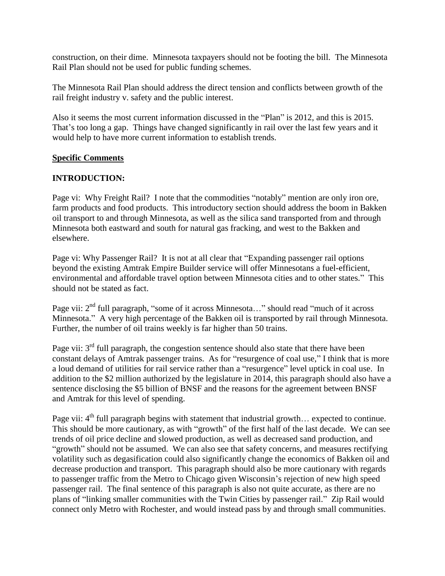construction, on their dime. Minnesota taxpayers should not be footing the bill. The Minnesota Rail Plan should not be used for public funding schemes.

The Minnesota Rail Plan should address the direct tension and conflicts between growth of the rail freight industry v. safety and the public interest.

Also it seems the most current information discussed in the "Plan" is 2012, and this is 2015. That's too long a gap. Things have changed significantly in rail over the last few years and it would help to have more current information to establish trends.

## **Specific Comments**

#### **INTRODUCTION:**

Page vi: Why Freight Rail? I note that the commodities "notably" mention are only iron ore, farm products and food products. This introductory section should address the boom in Bakken oil transport to and through Minnesota, as well as the silica sand transported from and through Minnesota both eastward and south for natural gas fracking, and west to the Bakken and elsewhere.

Page vi: Why Passenger Rail? It is not at all clear that "Expanding passenger rail options beyond the existing Amtrak Empire Builder service will offer Minnesotans a fuel-efficient, environmental and affordable travel option between Minnesota cities and to other states." This should not be stated as fact.

Page vii:  $2<sup>nd</sup>$  full paragraph, "some of it across Minnesota..." should read "much of it across Minnesota." A very high percentage of the Bakken oil is transported by rail through Minnesota. Further, the number of oil trains weekly is far higher than 50 trains.

Page vii:  $3<sup>rd</sup>$  full paragraph, the congestion sentence should also state that there have been constant delays of Amtrak passenger trains. As for "resurgence of coal use," I think that is more a loud demand of utilities for rail service rather than a "resurgence" level uptick in coal use. In addition to the \$2 million authorized by the legislature in 2014, this paragraph should also have a sentence disclosing the \$5 billion of BNSF and the reasons for the agreement between BNSF and Amtrak for this level of spending.

Page vii: 4<sup>th</sup> full paragraph begins with statement that industrial growth... expected to continue. This should be more cautionary, as with "growth" of the first half of the last decade. We can see trends of oil price decline and slowed production, as well as decreased sand production, and "growth" should not be assumed. We can also see that safety concerns, and measures rectifying volatility such as degasification could also significantly change the economics of Bakken oil and decrease production and transport. This paragraph should also be more cautionary with regards to passenger traffic from the Metro to Chicago given Wisconsin's rejection of new high speed passenger rail. The final sentence of this paragraph is also not quite accurate, as there are no plans of "linking smaller communities with the Twin Cities by passenger rail." Zip Rail would connect only Metro with Rochester, and would instead pass by and through small communities.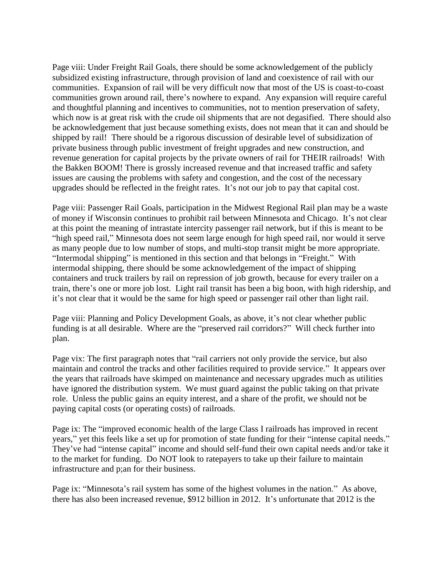Page viii: Under Freight Rail Goals, there should be some acknowledgement of the publicly subsidized existing infrastructure, through provision of land and coexistence of rail with our communities. Expansion of rail will be very difficult now that most of the US is coast-to-coast communities grown around rail, there's nowhere to expand. Any expansion will require careful and thoughtful planning and incentives to communities, not to mention preservation of safety, which now is at great risk with the crude oil shipments that are not degasified. There should also be acknowledgement that just because something exists, does not mean that it can and should be shipped by rail! There should be a rigorous discussion of desirable level of subsidization of private business through public investment of freight upgrades and new construction, and revenue generation for capital projects by the private owners of rail for THEIR railroads! With the Bakken BOOM! There is grossly increased revenue and that increased traffic and safety issues are causing the problems with safety and congestion, and the cost of the necessary upgrades should be reflected in the freight rates. It's not our job to pay that capital cost.

Page viii: Passenger Rail Goals, participation in the Midwest Regional Rail plan may be a waste of money if Wisconsin continues to prohibit rail between Minnesota and Chicago. It's not clear at this point the meaning of intrastate intercity passenger rail network, but if this is meant to be "high speed rail," Minnesota does not seem large enough for high speed rail, nor would it serve as many people due to low number of stops, and multi-stop transit might be more appropriate. "Intermodal shipping" is mentioned in this section and that belongs in "Freight." With intermodal shipping, there should be some acknowledgement of the impact of shipping containers and truck trailers by rail on repression of job growth, because for every trailer on a train, there's one or more job lost. Light rail transit has been a big boon, with high ridership, and it's not clear that it would be the same for high speed or passenger rail other than light rail.

Page viii: Planning and Policy Development Goals, as above, it's not clear whether public funding is at all desirable. Where are the "preserved rail corridors?" Will check further into plan.

Page vix: The first paragraph notes that "rail carriers not only provide the service, but also maintain and control the tracks and other facilities required to provide service." It appears over the years that railroads have skimped on maintenance and necessary upgrades much as utilities have ignored the distribution system. We must guard against the public taking on that private role. Unless the public gains an equity interest, and a share of the profit, we should not be paying capital costs (or operating costs) of railroads.

Page ix: The "improved economic health of the large Class I railroads has improved in recent years," yet this feels like a set up for promotion of state funding for their "intense capital needs." They've had "intense capital" income and should self-fund their own capital needs and/or take it to the market for funding. Do NOT look to ratepayers to take up their failure to maintain infrastructure and p;an for their business.

Page ix: "Minnesota's rail system has some of the highest volumes in the nation." As above, there has also been increased revenue, \$912 billion in 2012. It's unfortunate that 2012 is the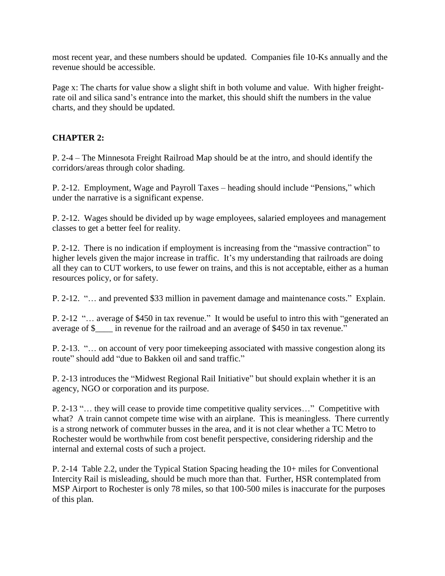most recent year, and these numbers should be updated. Companies file 10-Ks annually and the revenue should be accessible.

Page x: The charts for value show a slight shift in both volume and value. With higher freightrate oil and silica sand's entrance into the market, this should shift the numbers in the value charts, and they should be updated.

# **CHAPTER 2:**

P. 2-4 – The Minnesota Freight Railroad Map should be at the intro, and should identify the corridors/areas through color shading.

P. 2-12. Employment, Wage and Payroll Taxes – heading should include "Pensions," which under the narrative is a significant expense.

P. 2-12. Wages should be divided up by wage employees, salaried employees and management classes to get a better feel for reality.

P. 2-12. There is no indication if employment is increasing from the "massive contraction" to higher levels given the major increase in traffic. It's my understanding that railroads are doing all they can to CUT workers, to use fewer on trains, and this is not acceptable, either as a human resources policy, or for safety.

P. 2-12. "… and prevented \$33 million in pavement damage and maintenance costs." Explain.

P. 2-12 "… average of \$450 in tax revenue." It would be useful to intro this with "generated an average of \$\_\_\_\_ in revenue for the railroad and an average of \$450 in tax revenue."

P. 2-13. "… on account of very poor timekeeping associated with massive congestion along its route" should add "due to Bakken oil and sand traffic."

P. 2-13 introduces the "Midwest Regional Rail Initiative" but should explain whether it is an agency, NGO or corporation and its purpose.

P. 2-13 "… they will cease to provide time competitive quality services…" Competitive with what? A train cannot compete time wise with an airplane. This is meaningless. There currently is a strong network of commuter busses in the area, and it is not clear whether a TC Metro to Rochester would be worthwhile from cost benefit perspective, considering ridership and the internal and external costs of such a project.

P. 2-14 Table 2.2, under the Typical Station Spacing heading the 10+ miles for Conventional Intercity Rail is misleading, should be much more than that. Further, HSR contemplated from MSP Airport to Rochester is only 78 miles, so that 100-500 miles is inaccurate for the purposes of this plan.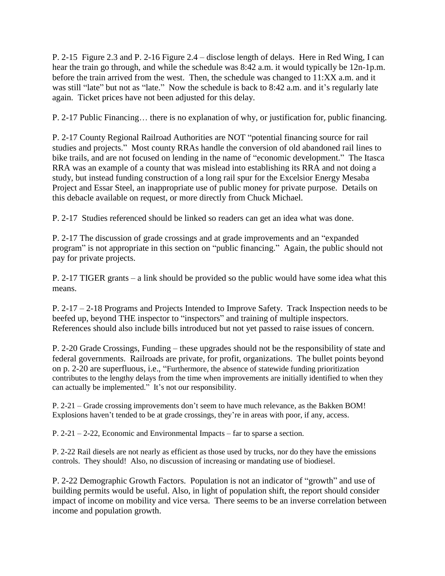P. 2-15 Figure 2.3 and P. 2-16 Figure 2.4 – disclose length of delays. Here in Red Wing, I can hear the train go through, and while the schedule was 8:42 a.m. it would typically be 12n-1p.m. before the train arrived from the west. Then, the schedule was changed to 11:XX a.m. and it was still "late" but not as "late." Now the schedule is back to 8:42 a.m. and it's regularly late again. Ticket prices have not been adjusted for this delay.

P. 2-17 Public Financing… there is no explanation of why, or justification for, public financing.

P. 2-17 County Regional Railroad Authorities are NOT "potential financing source for rail studies and projects." Most county RRAs handle the conversion of old abandoned rail lines to bike trails, and are not focused on lending in the name of "economic development." The Itasca RRA was an example of a county that was mislead into establishing its RRA and not doing a study, but instead funding construction of a long rail spur for the Excelsior Energy Mesaba Project and Essar Steel, an inappropriate use of public money for private purpose. Details on this debacle available on request, or more directly from Chuck Michael.

P. 2-17 Studies referenced should be linked so readers can get an idea what was done.

P. 2-17 The discussion of grade crossings and at grade improvements and an "expanded program" is not appropriate in this section on "public financing." Again, the public should not pay for private projects.

P. 2-17 TIGER grants – a link should be provided so the public would have some idea what this means.

P. 2-17 – 2-18 Programs and Projects Intended to Improve Safety. Track Inspection needs to be beefed up, beyond THE inspector to "inspectors" and training of multiple inspectors. References should also include bills introduced but not yet passed to raise issues of concern.

P. 2-20 Grade Crossings, Funding – these upgrades should not be the responsibility of state and federal governments. Railroads are private, for profit, organizations. The bullet points beyond on p. 2-20 are superfluous, i.e., "Furthermore, the absence of statewide funding prioritization contributes to the lengthy delays from the time when improvements are initially identified to when they can actually be implemented." It's not our responsibility.

P. 2-21 – Grade crossing improvements don't seem to have much relevance, as the Bakken BOM! Explosions haven't tended to be at grade crossings, they're in areas with poor, if any, access.

P. 2-21 – 2-22, Economic and Environmental Impacts – far to sparse a section.

P. 2-22 Rail diesels are not nearly as efficient as those used by trucks, nor do they have the emissions controls. They should! Also, no discussion of increasing or mandating use of biodiesel.

P. 2-22 Demographic Growth Factors. Population is not an indicator of "growth" and use of building permits would be useful. Also, in light of population shift, the report should consider impact of income on mobility and vice versa. There seems to be an inverse correlation between income and population growth.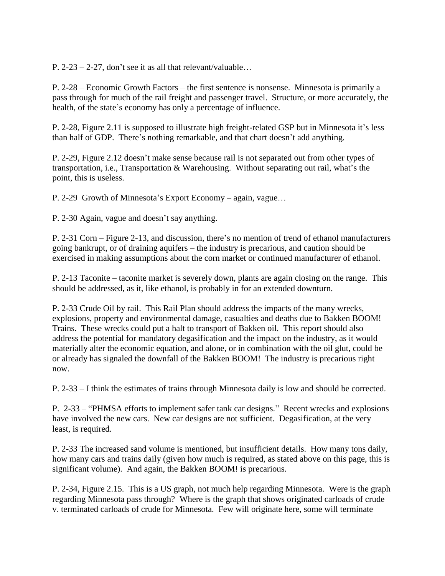P. 2-23 – 2-27, don't see it as all that relevant/valuable…

P. 2-28 – Economic Growth Factors – the first sentence is nonsense. Minnesota is primarily a pass through for much of the rail freight and passenger travel. Structure, or more accurately, the health, of the state's economy has only a percentage of influence.

P. 2-28, Figure 2.11 is supposed to illustrate high freight-related GSP but in Minnesota it's less than half of GDP. There's nothing remarkable, and that chart doesn't add anything.

P. 2-29, Figure 2.12 doesn't make sense because rail is not separated out from other types of transportation, i.e., Transportation & Warehousing. Without separating out rail, what's the point, this is useless.

P. 2-29 Growth of Minnesota's Export Economy – again, vague…

P. 2-30 Again, vague and doesn't say anything.

P. 2-31 Corn – Figure 2-13, and discussion, there's no mention of trend of ethanol manufacturers going bankrupt, or of draining aquifers – the industry is precarious, and caution should be exercised in making assumptions about the corn market or continued manufacturer of ethanol.

P. 2-13 Taconite – taconite market is severely down, plants are again closing on the range. This should be addressed, as it, like ethanol, is probably in for an extended downturn.

P. 2-33 Crude Oil by rail. This Rail Plan should address the impacts of the many wrecks, explosions, property and environmental damage, casualties and deaths due to Bakken BOOM! Trains. These wrecks could put a halt to transport of Bakken oil. This report should also address the potential for mandatory degasification and the impact on the industry, as it would materially alter the economic equation, and alone, or in combination with the oil glut, could be or already has signaled the downfall of the Bakken BOOM! The industry is precarious right now.

P. 2-33 – I think the estimates of trains through Minnesota daily is low and should be corrected.

P. 2-33 – "PHMSA efforts to implement safer tank car designs." Recent wrecks and explosions have involved the new cars. New car designs are not sufficient. Degasification, at the very least, is required.

P. 2-33 The increased sand volume is mentioned, but insufficient details. How many tons daily, how many cars and trains daily (given how much is required, as stated above on this page, this is significant volume). And again, the Bakken BOOM! is precarious.

P. 2-34, Figure 2.15. This is a US graph, not much help regarding Minnesota. Were is the graph regarding Minnesota pass through? Where is the graph that shows originated carloads of crude v. terminated carloads of crude for Minnesota. Few will originate here, some will terminate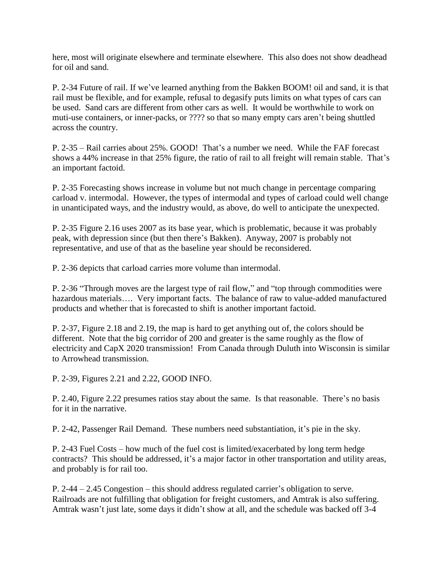here, most will originate elsewhere and terminate elsewhere. This also does not show deadhead for oil and sand.

P. 2-34 Future of rail. If we've learned anything from the Bakken BOOM! oil and sand, it is that rail must be flexible, and for example, refusal to degasify puts limits on what types of cars can be used. Sand cars are different from other cars as well. It would be worthwhile to work on muti-use containers, or inner-packs, or ???? so that so many empty cars aren't being shuttled across the country.

P. 2-35 – Rail carries about 25%. GOOD! That's a number we need. While the FAF forecast shows a 44% increase in that 25% figure, the ratio of rail to all freight will remain stable. That's an important factoid.

P. 2-35 Forecasting shows increase in volume but not much change in percentage comparing carload v. intermodal. However, the types of intermodal and types of carload could well change in unanticipated ways, and the industry would, as above, do well to anticipate the unexpected.

P. 2-35 Figure 2.16 uses 2007 as its base year, which is problematic, because it was probably peak, with depression since (but then there's Bakken). Anyway, 2007 is probably not representative, and use of that as the baseline year should be reconsidered.

P. 2-36 depicts that carload carries more volume than intermodal.

P. 2-36 "Through moves are the largest type of rail flow," and "top through commodities were hazardous materials.... Very important facts. The balance of raw to value-added manufactured products and whether that is forecasted to shift is another important factoid.

P. 2-37, Figure 2.18 and 2.19, the map is hard to get anything out of, the colors should be different. Note that the big corridor of 200 and greater is the same roughly as the flow of electricity and CapX 2020 transmission! From Canada through Duluth into Wisconsin is similar to Arrowhead transmission.

P. 2-39, Figures 2.21 and 2.22, GOOD INFO.

P. 2.40, Figure 2.22 presumes ratios stay about the same. Is that reasonable. There's no basis for it in the narrative.

P. 2-42, Passenger Rail Demand. These numbers need substantiation, it's pie in the sky.

P. 2-43 Fuel Costs – how much of the fuel cost is limited/exacerbated by long term hedge contracts? This should be addressed, it's a major factor in other transportation and utility areas, and probably is for rail too.

P. 2-44 – 2.45 Congestion – this should address regulated carrier's obligation to serve. Railroads are not fulfilling that obligation for freight customers, and Amtrak is also suffering. Amtrak wasn't just late, some days it didn't show at all, and the schedule was backed off 3-4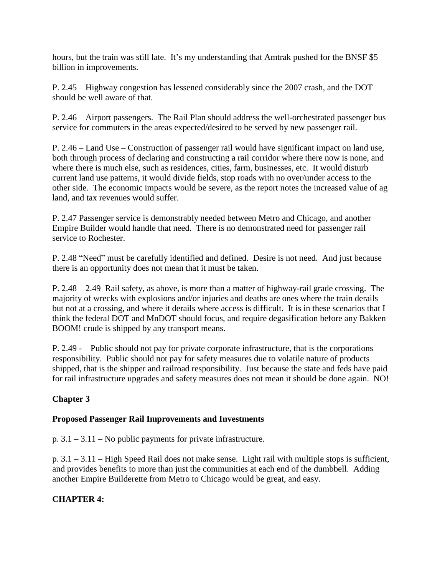hours, but the train was still late. It's my understanding that Amtrak pushed for the BNSF \$5 billion in improvements.

P. 2.45 – Highway congestion has lessened considerably since the 2007 crash, and the DOT should be well aware of that.

P. 2.46 – Airport passengers. The Rail Plan should address the well-orchestrated passenger bus service for commuters in the areas expected/desired to be served by new passenger rail.

P. 2.46 – Land Use – Construction of passenger rail would have significant impact on land use, both through process of declaring and constructing a rail corridor where there now is none, and where there is much else, such as residences, cities, farm, businesses, etc. It would disturb current land use patterns, it would divide fields, stop roads with no over/under access to the other side. The economic impacts would be severe, as the report notes the increased value of ag land, and tax revenues would suffer.

P. 2.47 Passenger service is demonstrably needed between Metro and Chicago, and another Empire Builder would handle that need. There is no demonstrated need for passenger rail service to Rochester.

P. 2.48 "Need" must be carefully identified and defined. Desire is not need. And just because there is an opportunity does not mean that it must be taken.

P. 2.48 – 2.49 Rail safety, as above, is more than a matter of highway-rail grade crossing. The majority of wrecks with explosions and/or injuries and deaths are ones where the train derails but not at a crossing, and where it derails where access is difficult. It is in these scenarios that I think the federal DOT and MnDOT should focus, and require degasification before any Bakken BOOM! crude is shipped by any transport means.

P. 2.49 - Public should not pay for private corporate infrastructure, that is the corporations responsibility. Public should not pay for safety measures due to volatile nature of products shipped, that is the shipper and railroad responsibility. Just because the state and feds have paid for rail infrastructure upgrades and safety measures does not mean it should be done again. NO!

## **Chapter 3**

#### **Proposed Passenger Rail Improvements and Investments**

p. 3.1 – 3.11 – No public payments for private infrastructure.

p. 3.1 – 3.11 – High Speed Rail does not make sense. Light rail with multiple stops is sufficient, and provides benefits to more than just the communities at each end of the dumbbell. Adding another Empire Builderette from Metro to Chicago would be great, and easy.

## **CHAPTER 4:**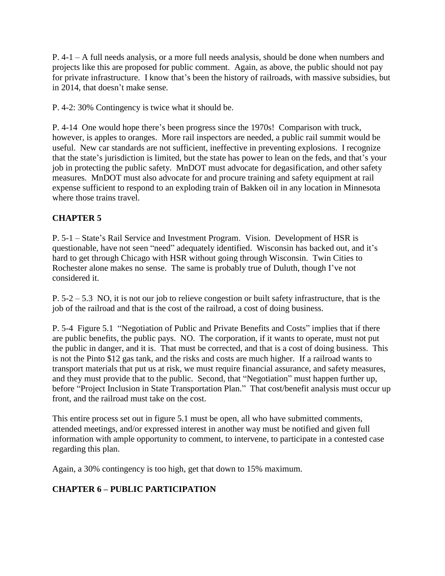P. 4-1 – A full needs analysis, or a more full needs analysis, should be done when numbers and projects like this are proposed for public comment. Again, as above, the public should not pay for private infrastructure. I know that's been the history of railroads, with massive subsidies, but in 2014, that doesn't make sense.

P. 4-2: 30% Contingency is twice what it should be.

P. 4-14 One would hope there's been progress since the 1970s! Comparison with truck, however, is apples to oranges. More rail inspectors are needed, a public rail summit would be useful. New car standards are not sufficient, ineffective in preventing explosions. I recognize that the state's jurisdiction is limited, but the state has power to lean on the feds, and that's your job in protecting the public safety. MnDOT must advocate for degasification, and other safety measures. MnDOT must also advocate for and procure training and safety equipment at rail expense sufficient to respond to an exploding train of Bakken oil in any location in Minnesota where those trains travel.

# **CHAPTER 5**

P. 5-1 – State's Rail Service and Investment Program. Vision. Development of HSR is questionable, have not seen "need" adequately identified. Wisconsin has backed out, and it's hard to get through Chicago with HSR without going through Wisconsin. Twin Cities to Rochester alone makes no sense. The same is probably true of Duluth, though I've not considered it.

 $P. 5-2 - 5.3$  NO, it is not our job to relieve congestion or built safety infrastructure, that is the job of the railroad and that is the cost of the railroad, a cost of doing business.

P. 5-4 Figure 5.1 "Negotiation of Public and Private Benefits and Costs" implies that if there are public benefits, the public pays. NO. The corporation, if it wants to operate, must not put the public in danger, and it is. That must be corrected, and that is a cost of doing business. This is not the Pinto \$12 gas tank, and the risks and costs are much higher. If a railroad wants to transport materials that put us at risk, we must require financial assurance, and safety measures, and they must provide that to the public. Second, that "Negotiation" must happen further up, before "Project Inclusion in State Transportation Plan." That cost/benefit analysis must occur up front, and the railroad must take on the cost.

This entire process set out in figure 5.1 must be open, all who have submitted comments, attended meetings, and/or expressed interest in another way must be notified and given full information with ample opportunity to comment, to intervene, to participate in a contested case regarding this plan.

Again, a 30% contingency is too high, get that down to 15% maximum.

## **CHAPTER 6 – PUBLIC PARTICIPATION**